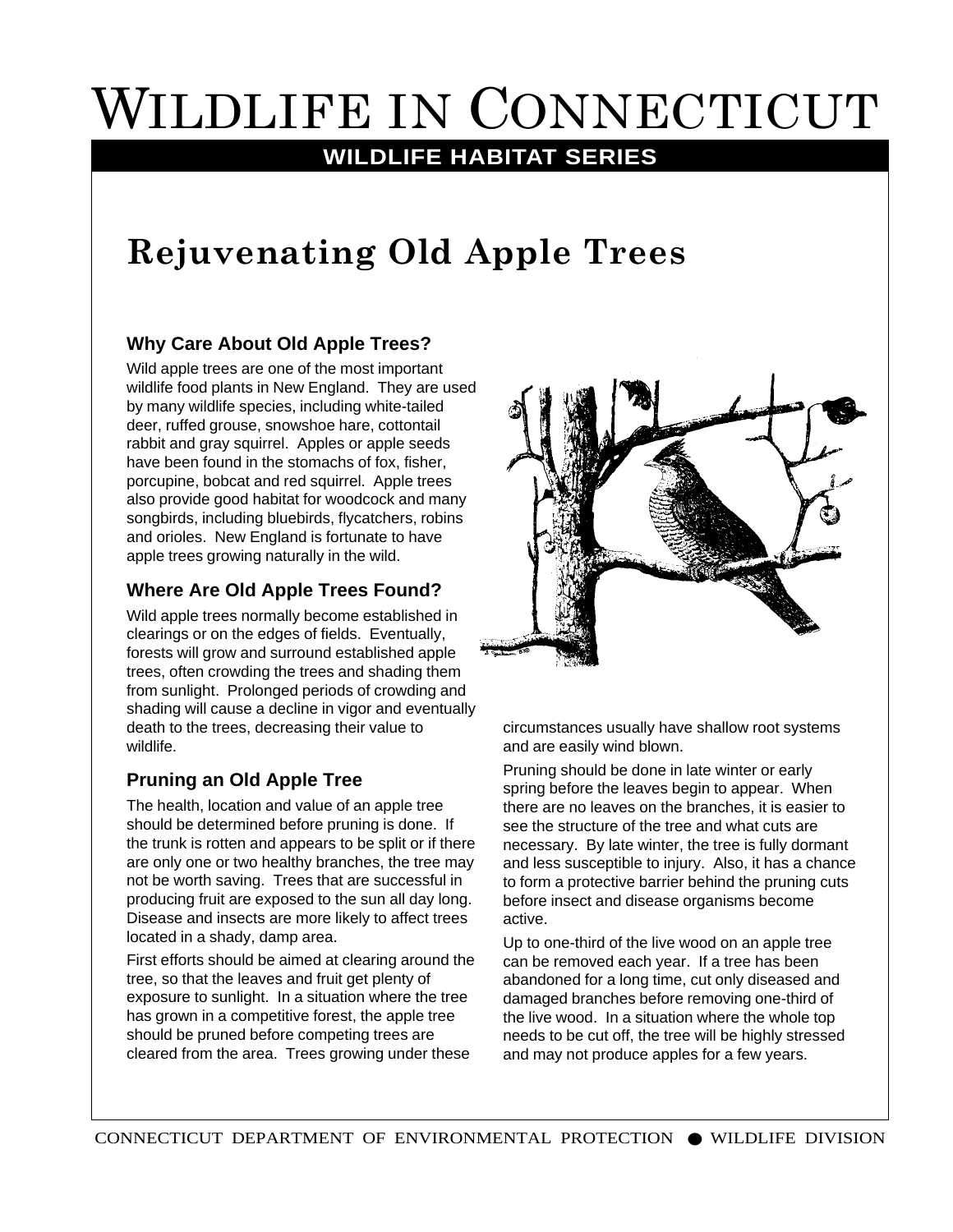# WILDLIFE IN CONNECTICUT

### **WILDLIFE HABITAT SERIES**

## **Rejuvenating Old Apple Trees**

#### **Why Care About Old Apple Trees?**

Wild apple trees are one of the most important wildlife food plants in New England. They are used by many wildlife species, including white-tailed deer, ruffed grouse, snowshoe hare, cottontail rabbit and gray squirrel. Apples or apple seeds have been found in the stomachs of fox, fisher, porcupine, bobcat and red squirrel. Apple trees also provide good habitat for woodcock and many songbirds, including bluebirds, flycatchers, robins and orioles. New England is fortunate to have apple trees growing naturally in the wild.

#### **Where Are Old Apple Trees Found?**

Wild apple trees normally become established in clearings or on the edges of fields. Eventually, forests will grow and surround established apple trees, often crowding the trees and shading them from sunlight. Prolonged periods of crowding and shading will cause a decline in vigor and eventually death to the trees, decreasing their value to wildlife.

#### **Pruning an Old Apple Tree**

The health, location and value of an apple tree should be determined before pruning is done. If the trunk is rotten and appears to be split or if there are only one or two healthy branches, the tree may not be worth saving. Trees that are successful in producing fruit are exposed to the sun all day long. Disease and insects are more likely to affect trees located in a shady, damp area.

First efforts should be aimed at clearing around the tree, so that the leaves and fruit get plenty of exposure to sunlight. In a situation where the tree has grown in a competitive forest, the apple tree should be pruned before competing trees are cleared from the area. Trees growing under these



circumstances usually have shallow root systems and are easily wind blown.

Pruning should be done in late winter or early spring before the leaves begin to appear. When there are no leaves on the branches, it is easier to see the structure of the tree and what cuts are necessary. By late winter, the tree is fully dormant and less susceptible to injury. Also, it has a chance to form a protective barrier behind the pruning cuts before insect and disease organisms become active.

Up to one-third of the live wood on an apple tree can be removed each year. If a tree has been abandoned for a long time, cut only diseased and damaged branches before removing one-third of the live wood. In a situation where the whole top needs to be cut off, the tree will be highly stressed and may not produce apples for a few years.